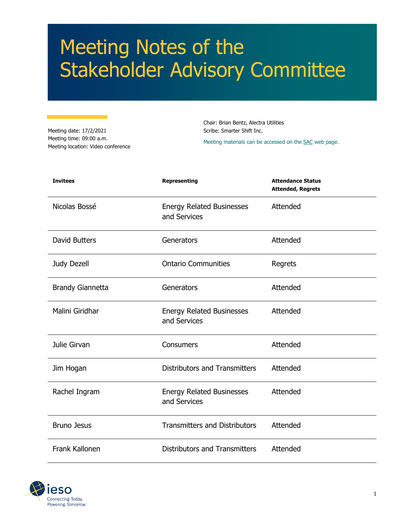# Meeting Notes of the Stakeholder Advisory Committee

Meeting date: 17/2/2021 Meeting time: 09:00 a.m. Meeting location: Video conference

Chair: Brian Bentz, Alectra Utilities Scribe: Smarter Shift Inc.

Meeting materials can be accessed on th[e SAC](https://www.ieso.ca/en/Sector-Participants/Engagement-Initiatives/Stakeholder-Advisory-Committee/Meetings-and-Materials) web page.

| <b>Invitees</b>         | <b>Representing</b>                              | <b>Attendance Status</b><br><b>Attended, Regrets</b> |
|-------------------------|--------------------------------------------------|------------------------------------------------------|
| Nicolas Bossé           | <b>Energy Related Businesses</b><br>and Services | Attended                                             |
| <b>David Butters</b>    | Generators                                       | Attended                                             |
| Judy Dezell             | <b>Ontario Communities</b>                       | Regrets                                              |
| <b>Brandy Giannetta</b> | Generators                                       | Attended                                             |
| Malini Giridhar         | <b>Energy Related Businesses</b><br>and Services | Attended                                             |
| Julie Girvan            | Consumers                                        | Attended                                             |
| Jim Hogan               | <b>Distributors and Transmitters</b>             | Attended                                             |
| Rachel Ingram           | <b>Energy Related Businesses</b><br>and Services | Attended                                             |
| <b>Bruno Jesus</b>      | <b>Transmitters and Distributors</b>             | Attended                                             |
| Frank Kallonen          | <b>Distributors and Transmitters</b>             | Attended                                             |

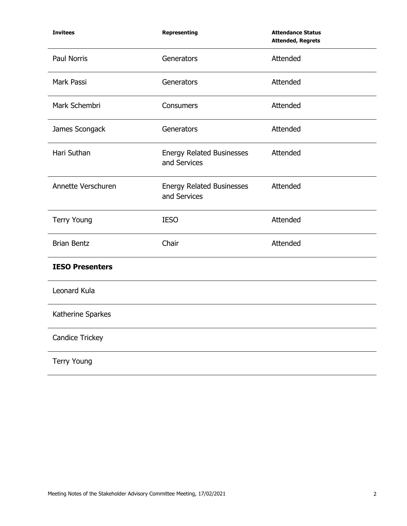| <b>Invitees</b>        | Representing                                     | <b>Attendance Status</b><br><b>Attended, Regrets</b> |
|------------------------|--------------------------------------------------|------------------------------------------------------|
| <b>Paul Norris</b>     | Generators                                       | Attended                                             |
| Mark Passi             | Generators                                       | Attended                                             |
| Mark Schembri          | Consumers                                        | Attended                                             |
| James Scongack         | Generators                                       | Attended                                             |
| Hari Suthan            | <b>Energy Related Businesses</b><br>and Services | Attended                                             |
| Annette Verschuren     | <b>Energy Related Businesses</b><br>and Services | Attended                                             |
| <b>Terry Young</b>     | <b>IESO</b>                                      | Attended                                             |
| <b>Brian Bentz</b>     | Chair                                            | Attended                                             |
| <b>IESO Presenters</b> |                                                  |                                                      |
| Leonard Kula           |                                                  |                                                      |
| Katherine Sparkes      |                                                  |                                                      |
| <b>Candice Trickey</b> |                                                  |                                                      |
| <b>Terry Young</b>     |                                                  |                                                      |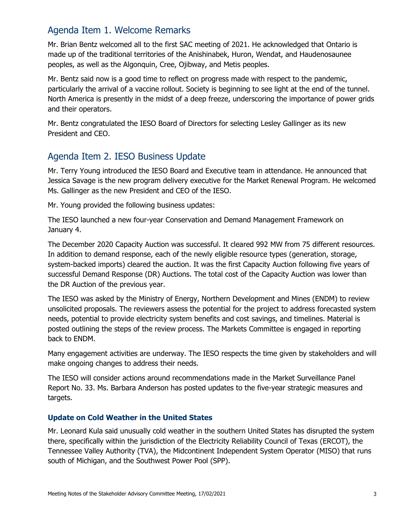# Agenda Item 1. Welcome Remarks

Mr. Brian Bentz welcomed all to the first SAC meeting of 2021. He acknowledged that Ontario is made up of the traditional territories of the Anishinabek, Huron, Wendat, and Haudenosaunee peoples, as well as the Algonquin, Cree, Ojibway, and Metis peoples.

Mr. Bentz said now is a good time to reflect on progress made with respect to the pandemic, particularly the arrival of a vaccine rollout. Society is beginning to see light at the end of the tunnel. North America is presently in the midst of a deep freeze, underscoring the importance of power grids and their operators.

Mr. Bentz congratulated the IESO Board of Directors for selecting Lesley Gallinger as its new President and CEO.

# Agenda Item 2. IESO Business Update

Mr. Terry Young introduced the IESO Board and Executive team in attendance. He announced that Jessica Savage is the new program delivery executive for the Market Renewal Program. He welcomed Ms. Gallinger as the new President and CEO of the IESO.

Mr. Young provided the following business updates:

The IESO launched a new four-year Conservation and Demand Management Framework on January 4.

The December 2020 Capacity Auction was successful. It cleared 992 MW from 75 different resources. In addition to demand response, each of the newly eligible resource types (generation, storage, system-backed imports) cleared the auction. It was the first Capacity Auction following five years of successful Demand Response (DR) Auctions. The total cost of the Capacity Auction was lower than the DR Auction of the previous year.

The IESO was asked by the Ministry of Energy, Northern Development and Mines (ENDM) to review unsolicited proposals. The reviewers assess the potential for the project to address forecasted system needs, potential to provide electricity system benefits and cost savings, and timelines. Material is posted outlining the steps of the review process. The Markets Committee is engaged in reporting back to ENDM.

Many engagement activities are underway. The IESO respects the time given by stakeholders and will make ongoing changes to address their needs.

The IESO will consider actions around recommendations made in the Market Surveillance Panel Report No. 33. Ms. Barbara Anderson has posted updates to the five-year strategic measures and targets.

## **Update on Cold Weather in the United States**

Mr. Leonard Kula said unusually cold weather in the southern United States has disrupted the system there, specifically within the jurisdiction of the Electricity Reliability Council of Texas (ERCOT), the Tennessee Valley Authority (TVA), the Midcontinent Independent System Operator (MISO) that runs south of Michigan, and the Southwest Power Pool (SPP).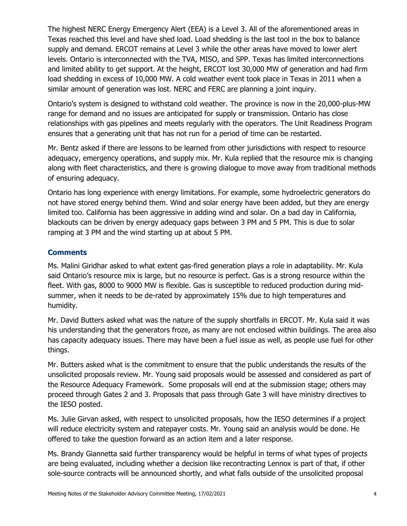The highest NERC Energy Emergency Alert (EEA) is a Level 3. All of the aforementioned areas in Texas reached this level and have shed load. Load shedding is the last tool in the box to balance supply and demand. ERCOT remains at Level 3 while the other areas have moved to lower alert levels. Ontario is interconnected with the TVA, MISO, and SPP. Texas has limited interconnections and limited ability to get support. At the height, ERCOT lost 30,000 MW of generation and had firm load shedding in excess of 10,000 MW. A cold weather event took place in Texas in 2011 when a similar amount of generation was lost. NERC and FERC are planning a joint inquiry.

Ontario's system is designed to withstand cold weather. The province is now in the 20,000-plus-MW range for demand and no issues are anticipated for supply or transmission. Ontario has close relationships with gas pipelines and meets regularly with the operators. The Unit Readiness Program ensures that a generating unit that has not run for a period of time can be restarted.

Mr. Bentz asked if there are lessons to be learned from other jurisdictions with respect to resource adequacy, emergency operations, and supply mix. Mr. Kula replied that the resource mix is changing along with fleet characteristics, and there is growing dialogue to move away from traditional methods of ensuring adequacy.

Ontario has long experience with energy limitations. For example, some hydroelectric generators do not have stored energy behind them. Wind and solar energy have been added, but they are energy limited too. California has been aggressive in adding wind and solar. On a bad day in California, blackouts can be driven by energy adequacy gaps between 3 PM and 5 PM. This is due to solar ramping at 3 PM and the wind starting up at about 5 PM.

## **Comments**

Ms. Malini Giridhar asked to what extent gas-fired generation plays a role in adaptability. Mr. Kula said Ontario's resource mix is large, but no resource is perfect. Gas is a strong resource within the fleet. With gas, 8000 to 9000 MW is flexible. Gas is susceptible to reduced production during midsummer, when it needs to be de-rated by approximately 15% due to high temperatures and humidity.

Mr. David Butters asked what was the nature of the supply shortfalls in ERCOT. Mr. Kula said it was his understanding that the generators froze, as many are not enclosed within buildings. The area also has capacity adequacy issues. There may have been a fuel issue as well, as people use fuel for other things.

Mr. Butters asked what is the commitment to ensure that the public understands the results of the unsolicited proposals review. Mr. Young said proposals would be assessed and considered as part of the Resource Adequacy Framework. Some proposals will end at the submission stage; others may proceed through Gates 2 and 3. Proposals that pass through Gate 3 will have ministry directives to the IESO posted.

Ms. Julie Girvan asked, with respect to unsolicited proposals, how the IESO determines if a project will reduce electricity system and ratepayer costs. Mr. Young said an analysis would be done. He offered to take the question forward as an action item and a later response.

Ms. Brandy Giannetta said further transparency would be helpful in terms of what types of projects are being evaluated, including whether a decision like recontracting Lennox is part of that, if other sole-source contracts will be announced shortly, and what falls outside of the unsolicited proposal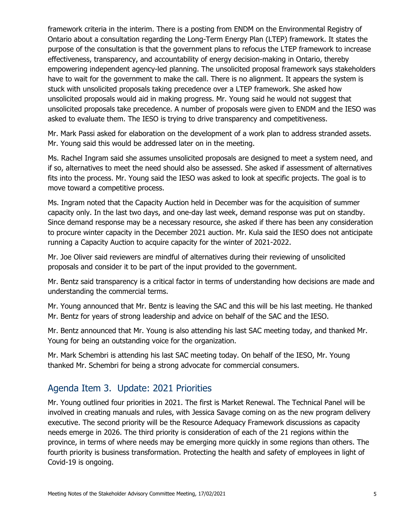framework criteria in the interim. There is a posting from ENDM on the Environmental Registry of Ontario about a consultation regarding the Long-Term Energy Plan (LTEP) framework. It states the purpose of the consultation is that the government plans to refocus the LTEP framework to increase effectiveness, transparency, and accountability of energy decision-making in Ontario, thereby empowering independent agency-led planning. The unsolicited proposal framework says stakeholders have to wait for the government to make the call. There is no alignment. It appears the system is stuck with unsolicited proposals taking precedence over a LTEP framework. She asked how unsolicited proposals would aid in making progress. Mr. Young said he would not suggest that unsolicited proposals take precedence. A number of proposals were given to ENDM and the IESO was asked to evaluate them. The IESO is trying to drive transparency and competitiveness.

Mr. Mark Passi asked for elaboration on the development of a work plan to address stranded assets. Mr. Young said this would be addressed later on in the meeting.

Ms. Rachel Ingram said she assumes unsolicited proposals are designed to meet a system need, and if so, alternatives to meet the need should also be assessed. She asked if assessment of alternatives fits into the process. Mr. Young said the IESO was asked to look at specific projects. The goal is to move toward a competitive process.

Ms. Ingram noted that the Capacity Auction held in December was for the acquisition of summer capacity only. In the last two days, and one-day last week, demand response was put on standby. Since demand response may be a necessary resource, she asked if there has been any consideration to procure winter capacity in the December 2021 auction. Mr. Kula said the IESO does not anticipate running a Capacity Auction to acquire capacity for the winter of 2021-2022.

Mr. Joe Oliver said reviewers are mindful of alternatives during their reviewing of unsolicited proposals and consider it to be part of the input provided to the government.

Mr. Bentz said transparency is a critical factor in terms of understanding how decisions are made and understanding the commercial terms.

Mr. Young announced that Mr. Bentz is leaving the SAC and this will be his last meeting. He thanked Mr. Bentz for years of strong leadership and advice on behalf of the SAC and the IESO.

Mr. Bentz announced that Mr. Young is also attending his last SAC meeting today, and thanked Mr. Young for being an outstanding voice for the organization.

Mr. Mark Schembri is attending his last SAC meeting today. On behalf of the IESO, Mr. Young thanked Mr. Schembri for being a strong advocate for commercial consumers.

# Agenda Item 3. Update: 2021 Priorities

Mr. Young outlined four priorities in 2021. The first is Market Renewal. The Technical Panel will be involved in creating manuals and rules, with Jessica Savage coming on as the new program delivery executive. The second priority will be the Resource Adequacy Framework discussions as capacity needs emerge in 2026. The third priority is consideration of each of the 21 regions within the province, in terms of where needs may be emerging more quickly in some regions than others. The fourth priority is business transformation. Protecting the health and safety of employees in light of Covid-19 is ongoing.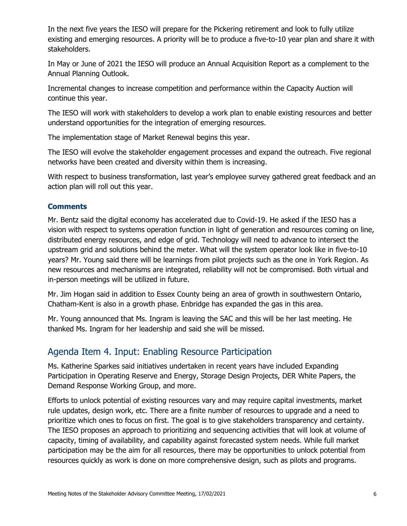In the next five years the IESO will prepare for the Pickering retirement and look to fully utilize existing and emerging resources. A priority will be to produce a five-to-10 year plan and share it with stakeholders.

In May or June of 2021 the IESO will produce an Annual Acquisition Report as a complement to the Annual Planning Outlook.

Incremental changes to increase competition and performance within the Capacity Auction will continue this year.

The IESO will work with stakeholders to develop a work plan to enable existing resources and better understand opportunities for the integration of emerging resources.

The implementation stage of Market Renewal begins this year.

The IESO will evolve the stakeholder engagement processes and expand the outreach. Five regional networks have been created and diversity within them is increasing.

With respect to business transformation, last year's employee survey gathered great feedback and an action plan will roll out this year.

## **Comments**

Mr. Bentz said the digital economy has accelerated due to Covid-19. He asked if the IESO has a vision with respect to systems operation function in light of generation and resources coming on line, distributed energy resources, and edge of grid. Technology will need to advance to intersect the upstream grid and solutions behind the meter. What will the system operator look like in five-to-10 years? Mr. Young said there will be learnings from pilot projects such as the one in York Region. As new resources and mechanisms are integrated, reliability will not be compromised. Both virtual and in-person meetings will be utilized in future.

Mr. Jim Hogan said in addition to Essex County being an area of growth in southwestern Ontario, Chatham-Kent is also in a growth phase. Enbridge has expanded the gas in this area.

Mr. Young announced that Ms. Ingram is leaving the SAC and this will be her last meeting. He thanked Ms. Ingram for her leadership and said she will be missed.

## Agenda Item 4. Input: Enabling Resource Participation

Ms. Katherine Sparkes said initiatives undertaken in recent years have included Expanding Participation in Operating Reserve and Energy, Storage Design Projects, DER White Papers, the Demand Response Working Group, and more.

Efforts to unlock potential of existing resources vary and may require capital investments, market rule updates, design work, etc. There are a finite number of resources to upgrade and a need to prioritize which ones to focus on first. The goal is to give stakeholders transparency and certainty. The IESO proposes an approach to prioritizing and sequencing activities that will look at volume of capacity, timing of availability, and capability against forecasted system needs. While full market participation may be the aim for all resources, there may be opportunities to unlock potential from resources quickly as work is done on more comprehensive design, such as pilots and programs.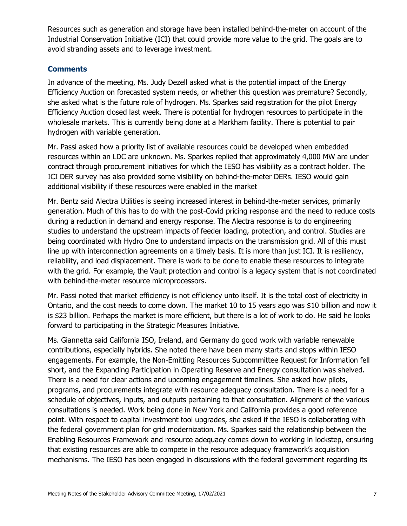Resources such as generation and storage have been installed behind-the-meter on account of the Industrial Conservation Initiative (ICI) that could provide more value to the grid. The goals are to avoid stranding assets and to leverage investment.

### **Comments**

In advance of the meeting, Ms. Judy Dezell asked what is the potential impact of the Energy Efficiency Auction on forecasted system needs, or whether this question was premature? Secondly, she asked what is the future role of hydrogen. Ms. Sparkes said registration for the pilot Energy Efficiency Auction closed last week. There is potential for hydrogen resources to participate in the wholesale markets. This is currently being done at a Markham facility. There is potential to pair hydrogen with variable generation.

Mr. Passi asked how a priority list of available resources could be developed when embedded resources within an LDC are unknown. Ms. Sparkes replied that approximately 4,000 MW are under contract through procurement initiatives for which the IESO has visibility as a contract holder. The ICI DER survey has also provided some visibility on behind-the-meter DERs. IESO would gain additional visibility if these resources were enabled in the market

Mr. Bentz said Alectra Utilities is seeing increased interest in behind-the-meter services, primarily generation. Much of this has to do with the post-Covid pricing response and the need to reduce costs during a reduction in demand and energy response. The Alectra response is to do engineering studies to understand the upstream impacts of feeder loading, protection, and control. Studies are being coordinated with Hydro One to understand impacts on the transmission grid. All of this must line up with interconnection agreements on a timely basis. It is more than just ICI. It is resiliency, reliability, and load displacement. There is work to be done to enable these resources to integrate with the grid. For example, the Vault protection and control is a legacy system that is not coordinated with behind-the-meter resource microprocessors.

Mr. Passi noted that market efficiency is not efficiency unto itself. It is the total cost of electricity in Ontario, and the cost needs to come down. The market 10 to 15 years ago was \$10 billion and now it is \$23 billion. Perhaps the market is more efficient, but there is a lot of work to do. He said he looks forward to participating in the Strategic Measures Initiative.

Ms. Giannetta said California ISO, Ireland, and Germany do good work with variable renewable contributions, especially hybrids. She noted there have been many starts and stops within IESO engagements. For example, the Non-Emitting Resources Subcommittee Request for Information fell short, and the Expanding Participation in Operating Reserve and Energy consultation was shelved. There is a need for clear actions and upcoming engagement timelines. She asked how pilots, programs, and procurements integrate with resource adequacy consultation. There is a need for a schedule of objectives, inputs, and outputs pertaining to that consultation. Alignment of the various consultations is needed. Work being done in New York and California provides a good reference point. With respect to capital investment tool upgrades, she asked if the IESO is collaborating with the federal government plan for grid modernization. Ms. Sparkes said the relationship between the Enabling Resources Framework and resource adequacy comes down to working in lockstep, ensuring that existing resources are able to compete in the resource adequacy framework's acquisition mechanisms. The IESO has been engaged in discussions with the federal government regarding its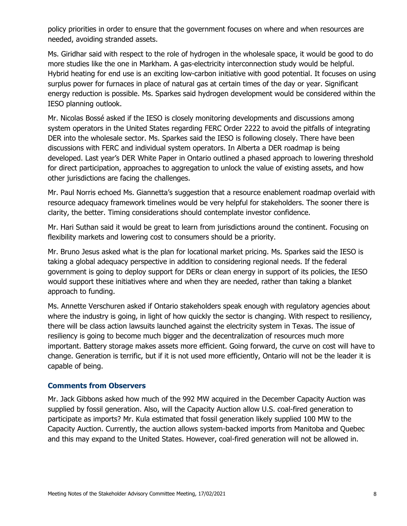policy priorities in order to ensure that the government focuses on where and when resources are needed, avoiding stranded assets.

Ms. Giridhar said with respect to the role of hydrogen in the wholesale space, it would be good to do more studies like the one in Markham. A gas-electricity interconnection study would be helpful. Hybrid heating for end use is an exciting low-carbon initiative with good potential. It focuses on using surplus power for furnaces in place of natural gas at certain times of the day or year. Significant energy reduction is possible. Ms. Sparkes said hydrogen development would be considered within the IESO planning outlook.

Mr. Nicolas Bossé asked if the IESO is closely monitoring developments and discussions among system operators in the United States regarding FERC Order 2222 to avoid the pitfalls of integrating DER into the wholesale sector. Ms. Sparkes said the IESO is following closely. There have been discussions with FERC and individual system operators. In Alberta a DER roadmap is being developed. Last year's DER White Paper in Ontario outlined a phased approach to lowering threshold for direct participation, approaches to aggregation to unlock the value of existing assets, and how other jurisdictions are facing the challenges.

Mr. Paul Norris echoed Ms. Giannetta's suggestion that a resource enablement roadmap overlaid with resource adequacy framework timelines would be very helpful for stakeholders. The sooner there is clarity, the better. Timing considerations should contemplate investor confidence.

Mr. Hari Suthan said it would be great to learn from jurisdictions around the continent. Focusing on flexibility markets and lowering cost to consumers should be a priority.

Mr. Bruno Jesus asked what is the plan for locational market pricing. Ms. Sparkes said the IESO is taking a global adequacy perspective in addition to considering regional needs. If the federal government is going to deploy support for DERs or clean energy in support of its policies, the IESO would support these initiatives where and when they are needed, rather than taking a blanket approach to funding.

Ms. Annette Verschuren asked if Ontario stakeholders speak enough with regulatory agencies about where the industry is going, in light of how quickly the sector is changing. With respect to resiliency, there will be class action lawsuits launched against the electricity system in Texas. The issue of resiliency is going to become much bigger and the decentralization of resources much more important. Battery storage makes assets more efficient. Going forward, the curve on cost will have to change. Generation is terrific, but if it is not used more efficiently, Ontario will not be the leader it is capable of being.

### **Comments from Observers**

Mr. Jack Gibbons asked how much of the 992 MW acquired in the December Capacity Auction was supplied by fossil generation. Also, will the Capacity Auction allow U.S. coal-fired generation to participate as imports? Mr. Kula estimated that fossil generation likely supplied 100 MW to the Capacity Auction. Currently, the auction allows system-backed imports from Manitoba and Quebec and this may expand to the United States. However, coal-fired generation will not be allowed in.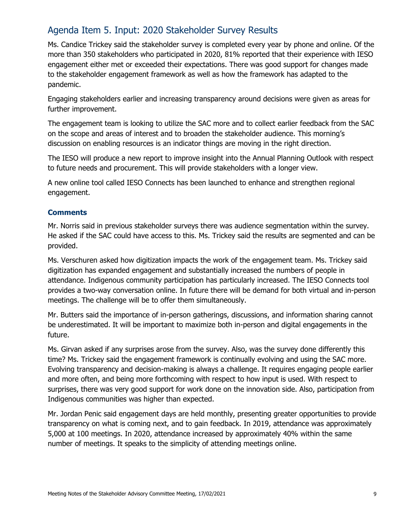# Agenda Item 5. Input: 2020 Stakeholder Survey Results

Ms. Candice Trickey said the stakeholder survey is completed every year by phone and online. Of the more than 350 stakeholders who participated in 2020, 81% reported that their experience with IESO engagement either met or exceeded their expectations. There was good support for changes made to the stakeholder engagement framework as well as how the framework has adapted to the pandemic.

Engaging stakeholders earlier and increasing transparency around decisions were given as areas for further improvement.

The engagement team is looking to utilize the SAC more and to collect earlier feedback from the SAC on the scope and areas of interest and to broaden the stakeholder audience. This morning's discussion on enabling resources is an indicator things are moving in the right direction.

The IESO will produce a new report to improve insight into the Annual Planning Outlook with respect to future needs and procurement. This will provide stakeholders with a longer view.

A new online tool called IESO Connects has been launched to enhance and strengthen regional engagement.

## **Comments**

Mr. Norris said in previous stakeholder surveys there was audience segmentation within the survey. He asked if the SAC could have access to this. Ms. Trickey said the results are segmented and can be provided.

Ms. Verschuren asked how digitization impacts the work of the engagement team. Ms. Trickey said digitization has expanded engagement and substantially increased the numbers of people in attendance. Indigenous community participation has particularly increased. The IESO Connects tool provides a two-way conversation online. In future there will be demand for both virtual and in-person meetings. The challenge will be to offer them simultaneously.

Mr. Butters said the importance of in-person gatherings, discussions, and information sharing cannot be underestimated. It will be important to maximize both in-person and digital engagements in the future.

Ms. Girvan asked if any surprises arose from the survey. Also, was the survey done differently this time? Ms. Trickey said the engagement framework is continually evolving and using the SAC more. Evolving transparency and decision-making is always a challenge. It requires engaging people earlier and more often, and being more forthcoming with respect to how input is used. With respect to surprises, there was very good support for work done on the innovation side. Also, participation from Indigenous communities was higher than expected.

Mr. Jordan Penic said engagement days are held monthly, presenting greater opportunities to provide transparency on what is coming next, and to gain feedback. In 2019, attendance was approximately 5,000 at 100 meetings. In 2020, attendance increased by approximately 40% within the same number of meetings. It speaks to the simplicity of attending meetings online.